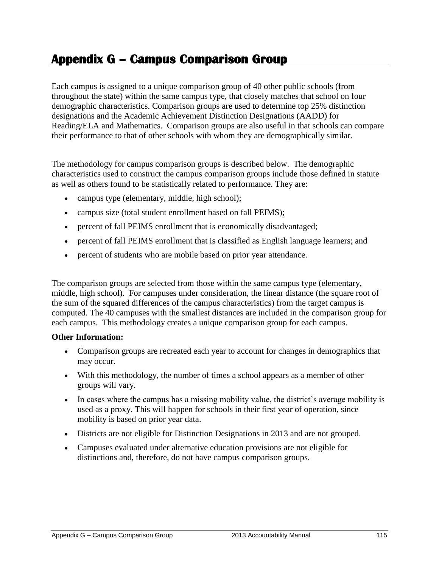## **Appendix G – Campus Comparison Group**

Each campus is assigned to a unique comparison group of 40 other public schools (from throughout the state) within the same campus type, that closely matches that school on four demographic characteristics. Comparison groups are used to determine top 25% distinction designations and the Academic Achievement Distinction Designations (AADD) for Reading/ELA and Mathematics. Comparison groups are also useful in that schools can compare their performance to that of other schools with whom they are demographically similar.

The methodology for campus comparison groups is described below. The demographic characteristics used to construct the campus comparison groups include those defined in statute as well as others found to be statistically related to performance. They are:

- campus type (elementary, middle, high school);
- campus size (total student enrollment based on fall PEIMS);
- percent of fall PEIMS enrollment that is economically disadvantaged;
- percent of fall PEIMS enrollment that is classified as English language learners; and
- percent of students who are mobile based on prior year attendance.

The comparison groups are selected from those within the same campus type (elementary, middle, high school). For campuses under consideration, the linear distance (the square root of the sum of the squared differences of the campus characteristics) from the target campus is computed. The 40 campuses with the smallest distances are included in the comparison group for each campus. This methodology creates a unique comparison group for each campus.

## **Other Information:**

- Comparison groups are recreated each year to account for changes in demographics that may occur.
- With this methodology, the number of times a school appears as a member of other groups will vary.
- In cases where the campus has a missing mobility value, the district's average mobility is used as a proxy. This will happen for schools in their first year of operation, since mobility is based on prior year data.
- Districts are not eligible for Distinction Designations in 2013 and are not grouped.
- Campuses evaluated under alternative education provisions are not eligible for distinctions and, therefore, do not have campus comparison groups.